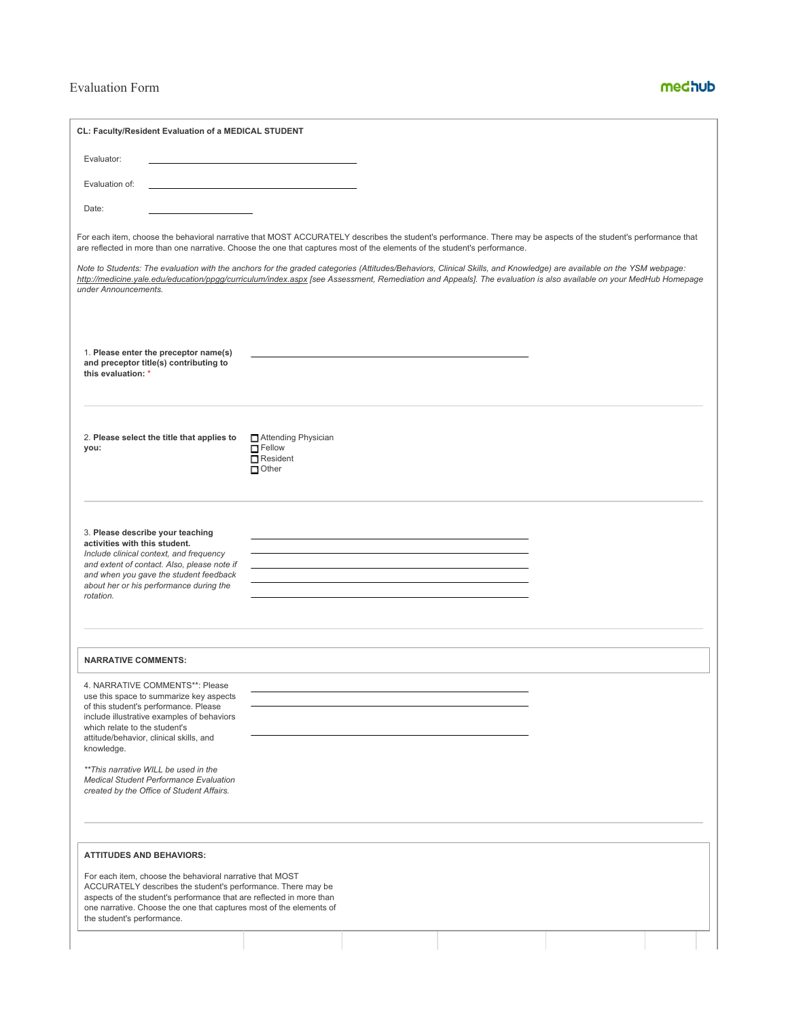## Evaluation Form

# medhub

| CL: Faculty/Resident Evaluation of a MEDICAL STUDENT                                                                                                                                                                                                                                                                                     |                                                                           |  |  |
|------------------------------------------------------------------------------------------------------------------------------------------------------------------------------------------------------------------------------------------------------------------------------------------------------------------------------------------|---------------------------------------------------------------------------|--|--|
| Evaluator:                                                                                                                                                                                                                                                                                                                               |                                                                           |  |  |
| Evaluation of:                                                                                                                                                                                                                                                                                                                           |                                                                           |  |  |
| Date:                                                                                                                                                                                                                                                                                                                                    |                                                                           |  |  |
| For each item, choose the behavioral narrative that MOST ACCURATELY describes the student's performance. There may be aspects of the student's performance that<br>are reflected in more than one narrative. Choose the one that captures most of the elements of the student's performance.                                             |                                                                           |  |  |
| Note to Students: The evaluation with the anchors for the graded categories (Attitudes/Behaviors, Clinical Skills, and Knowledge) are available on the YSM webpage:<br>http://medicine.yale.edu/education/ppgg/curriculum/index.aspx [see Assessment, Remediation and Appeals]. The evaluation is also available on your MedHub Homepage |                                                                           |  |  |
| under Announcements.                                                                                                                                                                                                                                                                                                                     |                                                                           |  |  |
|                                                                                                                                                                                                                                                                                                                                          |                                                                           |  |  |
| 1. Please enter the preceptor name(s)<br>and preceptor title(s) contributing to<br>this evaluation: *                                                                                                                                                                                                                                    |                                                                           |  |  |
| 2. Please select the title that applies to<br>you:                                                                                                                                                                                                                                                                                       | □ Attending Physician<br>$\Box$ Fellow<br>$\Box$ Resident<br>$\Box$ Other |  |  |
| 3. Please describe your teaching<br>activities with this student.<br>Include clinical context, and frequency<br>and extent of contact. Also, please note if<br>and when you gave the student feedback<br>about her or his performance during the<br>rotation.                                                                            |                                                                           |  |  |
| <b>NARRATIVE COMMENTS:</b>                                                                                                                                                                                                                                                                                                               |                                                                           |  |  |
| 4. NARRATIVE COMMENTS**: Please<br>use this space to summarize key aspects<br>of this student's performance. Please<br>include illustrative examples of behaviors<br>which relate to the student's<br>attitude/behavior, clinical skills, and<br>knowledge.<br>** This narrative WILL be used in the                                     |                                                                           |  |  |
| <b>Medical Student Performance Evaluation</b><br>created by the Office of Student Affairs.                                                                                                                                                                                                                                               |                                                                           |  |  |
| <b>ATTITUDES AND BEHAVIORS:</b>                                                                                                                                                                                                                                                                                                          |                                                                           |  |  |
| For each item, choose the behavioral narrative that MOST<br>ACCURATELY describes the student's performance. There may be<br>aspects of the student's performance that are reflected in more than<br>one narrative. Choose the one that captures most of the elements of<br>the student's performance.                                    |                                                                           |  |  |
|                                                                                                                                                                                                                                                                                                                                          |                                                                           |  |  |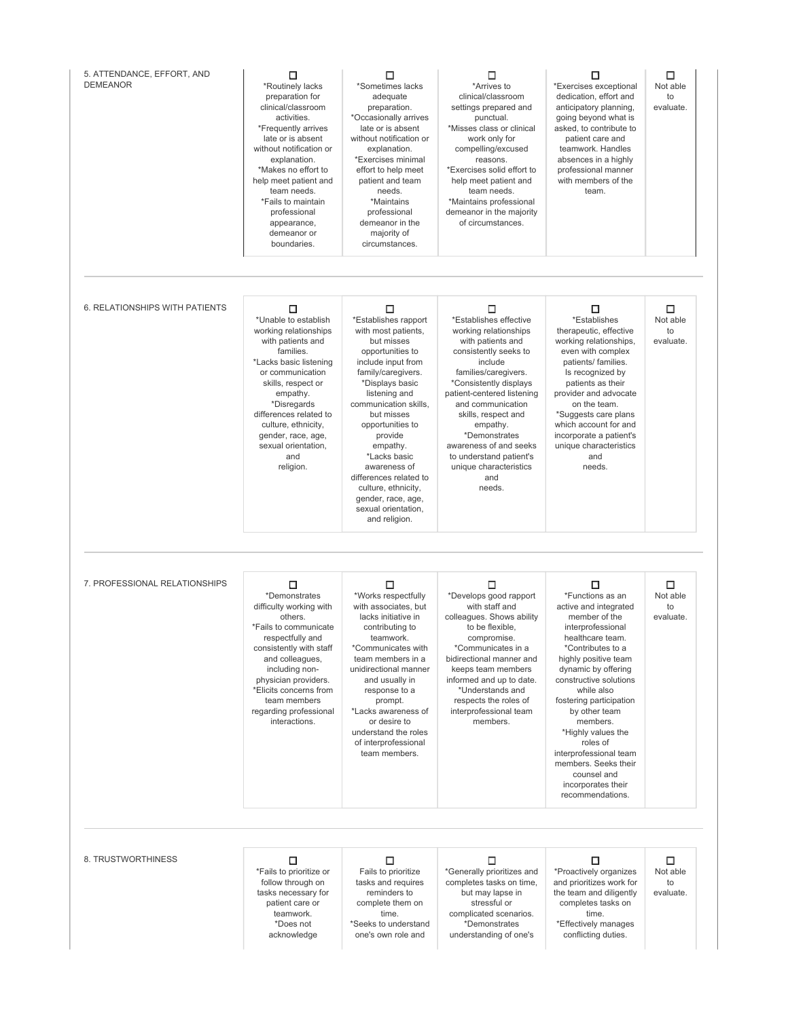| 5. ATTENDANCE, EFFORT, AND<br><b>DEMEANOR</b> | Ω<br>*Routinely lacks<br>preparation for<br>clinical/classroom<br>activities.<br>*Frequently arrives<br>late or is absent<br>without notification or<br>explanation.<br>*Makes no effort to<br>help meet patient and<br>team needs.<br>*Fails to maintain<br>professional<br>appearance,<br>demeanor or<br>boundaries. | □<br>*Sometimes lacks<br>adequate<br>preparation.<br>*Occasionally arrives<br>late or is absent<br>without notification or<br>explanation.<br>*Exercises minimal<br>effort to help meet<br>patient and team<br>needs.<br>*Maintains<br>professional<br>demeanor in the<br>majority of<br>circumstances.                                                                                             | □<br>*Arrives to<br>clinical/classroom<br>settings prepared and<br>punctual.<br>*Misses class or clinical<br>work only for<br>compelling/excused<br>reasons.<br>*Exercises solid effort to<br>help meet patient and<br>team needs.<br>*Maintains professional<br>demeanor in the majority<br>of circumstances.                                                         | □<br>*Exercises exceptional<br>dedication, effort and<br>anticipatory planning,<br>going beyond what is<br>asked, to contribute to<br>patient care and<br>teamwork. Handles<br>absences in a highly<br>professional manner<br>with members of the<br>team.                                                                                                                                                                | □<br>Not able<br>to<br>evaluate. |
|-----------------------------------------------|------------------------------------------------------------------------------------------------------------------------------------------------------------------------------------------------------------------------------------------------------------------------------------------------------------------------|-----------------------------------------------------------------------------------------------------------------------------------------------------------------------------------------------------------------------------------------------------------------------------------------------------------------------------------------------------------------------------------------------------|------------------------------------------------------------------------------------------------------------------------------------------------------------------------------------------------------------------------------------------------------------------------------------------------------------------------------------------------------------------------|---------------------------------------------------------------------------------------------------------------------------------------------------------------------------------------------------------------------------------------------------------------------------------------------------------------------------------------------------------------------------------------------------------------------------|----------------------------------|
| 6. RELATIONSHIPS WITH PATIENTS                | П<br>*Unable to establish<br>working relationships<br>with patients and<br>families.<br>*Lacks basic listening<br>or communication<br>skills, respect or<br>empathy.<br>*Disregards<br>differences related to<br>culture, ethnicity,<br>gender, race, age,<br>sexual orientation,<br>and<br>religion.                  | П<br>*Establishes rapport<br>with most patients,<br>but misses<br>opportunities to<br>include input from<br>family/caregivers.<br>*Displays basic<br>listening and<br>communication skills,<br>but misses<br>opportunities to<br>provide<br>empathy.<br>*Lacks basic<br>awareness of<br>differences related to<br>culture, ethnicity,<br>gender, race, age,<br>sexual orientation,<br>and religion. | □<br>*Establishes effective<br>working relationships<br>with patients and<br>consistently seeks to<br>include<br>families/caregivers.<br>*Consistently displays<br>patient-centered listening<br>and communication<br>skills, respect and<br>empathy.<br>*Demonstrates<br>awareness of and seeks<br>to understand patient's<br>unique characteristics<br>and<br>needs. | П<br>*Establishes<br>therapeutic, effective<br>working relationships,<br>even with complex<br>patients/ families.<br>Is recognized by<br>patients as their<br>provider and advocate<br>on the team.<br>*Suggests care plans<br>which account for and<br>incorporate a patient's<br>unique characteristics<br>and<br>needs.                                                                                                | □<br>Not able<br>to<br>evaluate. |
| 7. PROFESSIONAL RELATIONSHIPS                 | □<br>*Demonstrates<br>difficulty working with<br>others.<br>*Fails to communicate<br>respectfully and<br>consistently with staff<br>and colleagues,<br>including non-<br>physician providers.<br>*Elicits concerns from<br>team members<br>regarding professional<br>interactions.                                     | □<br>*Works respectfully<br>with associates, but<br>lacks initiative in<br>contributing to<br>teamwork.<br>*Communicates with<br>team members in a<br>unidirectional manner<br>and usually in<br>response to a<br>prompt.<br>*Lacks awareness of<br>or desire to<br>understand the roles<br>of interprofessional<br>team members.                                                                   | □<br>*Develops good rapport<br>with staff and<br>colleagues. Shows ability<br>to be flexible.<br>compromise.<br>*Communicates in a<br>bidirectional manner and<br>keeps team members<br>informed and up to date.<br>*Understands and<br>respects the roles of<br>interprofessional team<br>members.                                                                    | □<br>*Functions as an<br>active and integrated<br>member of the<br>interprofessional<br>healthcare team.<br>*Contributes to a<br>highly positive team<br>dynamic by offering<br>constructive solutions<br>while also<br>fostering participation<br>by other team<br>members.<br>*Highly values the<br>roles of<br>interprofessional team<br>members. Seeks their<br>counsel and<br>incorporates their<br>recommendations. | ◻<br>Not able<br>to<br>evaluate. |
| 8. TRUSTWORTHINESS                            | □<br>*Fails to prioritize or<br>follow through on<br>tasks necessary for<br>patient care or<br>teamwork.<br>*Does not<br>acknowledge                                                                                                                                                                                   | □<br>Fails to prioritize<br>tasks and requires<br>reminders to<br>complete them on<br>time.<br>*Seeks to understand<br>one's own role and                                                                                                                                                                                                                                                           | □<br>*Generally prioritizes and<br>completes tasks on time,<br>but may lapse in<br>stressful or<br>complicated scenarios.<br>*Demonstrates<br>understanding of one's                                                                                                                                                                                                   | □<br>*Proactively organizes<br>and prioritizes work for<br>the team and diligently<br>completes tasks on<br>time.<br>*Effectively manages<br>conflicting duties.                                                                                                                                                                                                                                                          | □<br>Not able<br>to<br>evaluate. |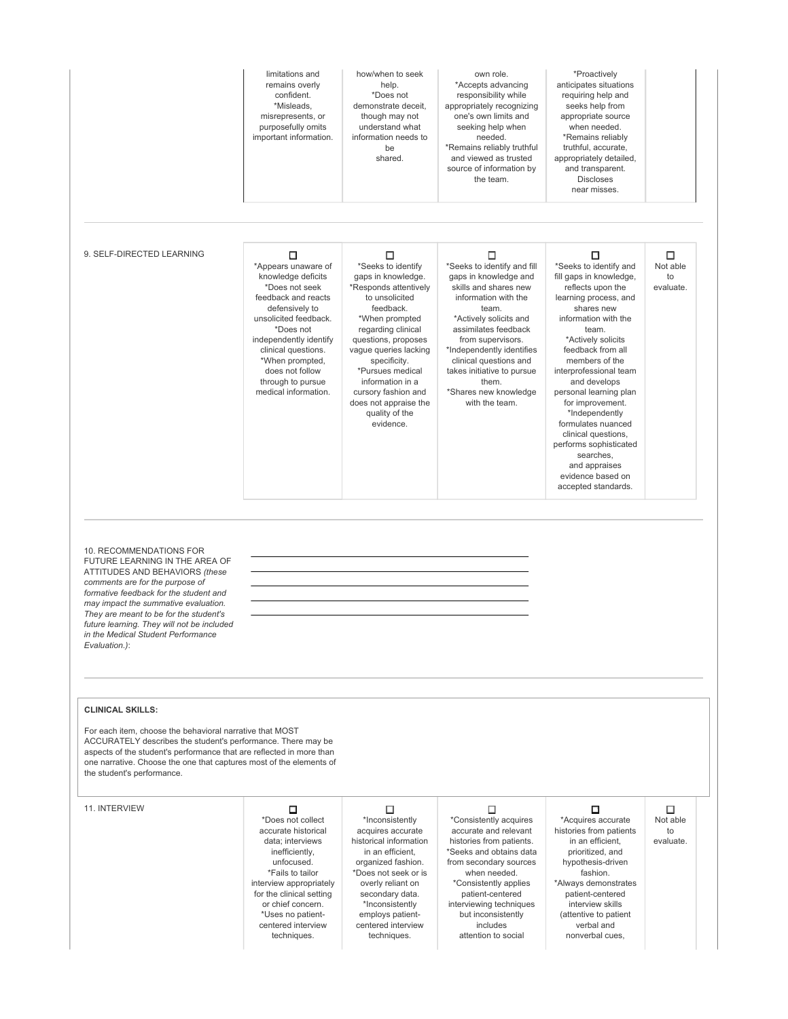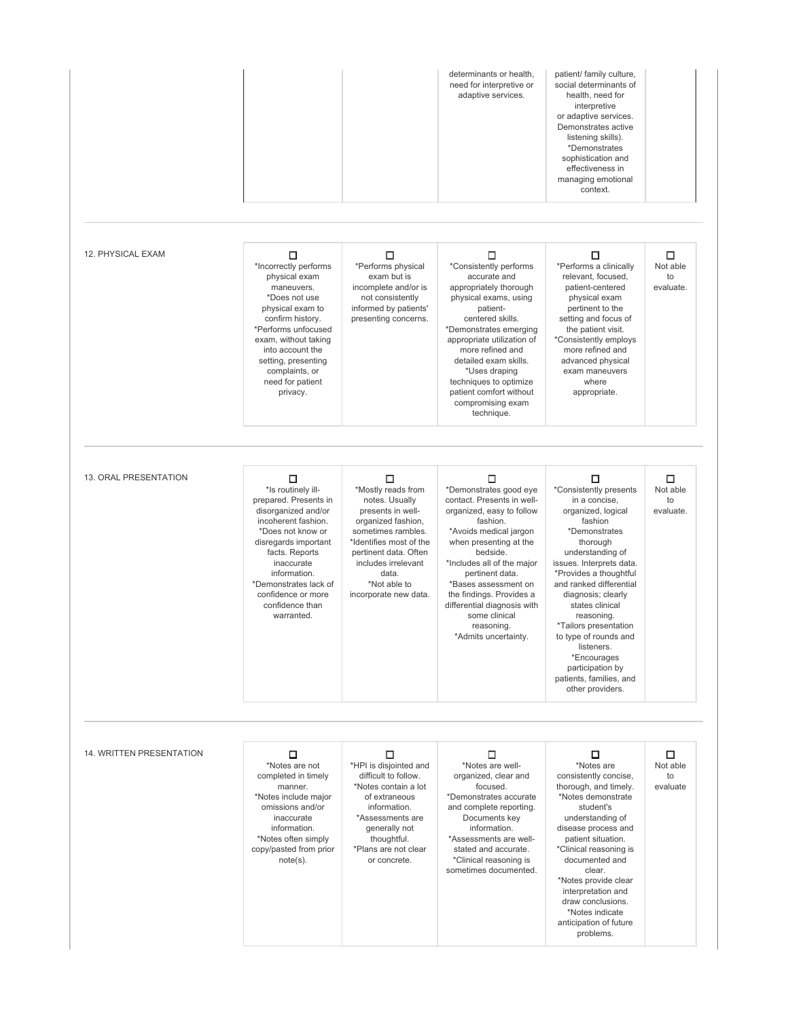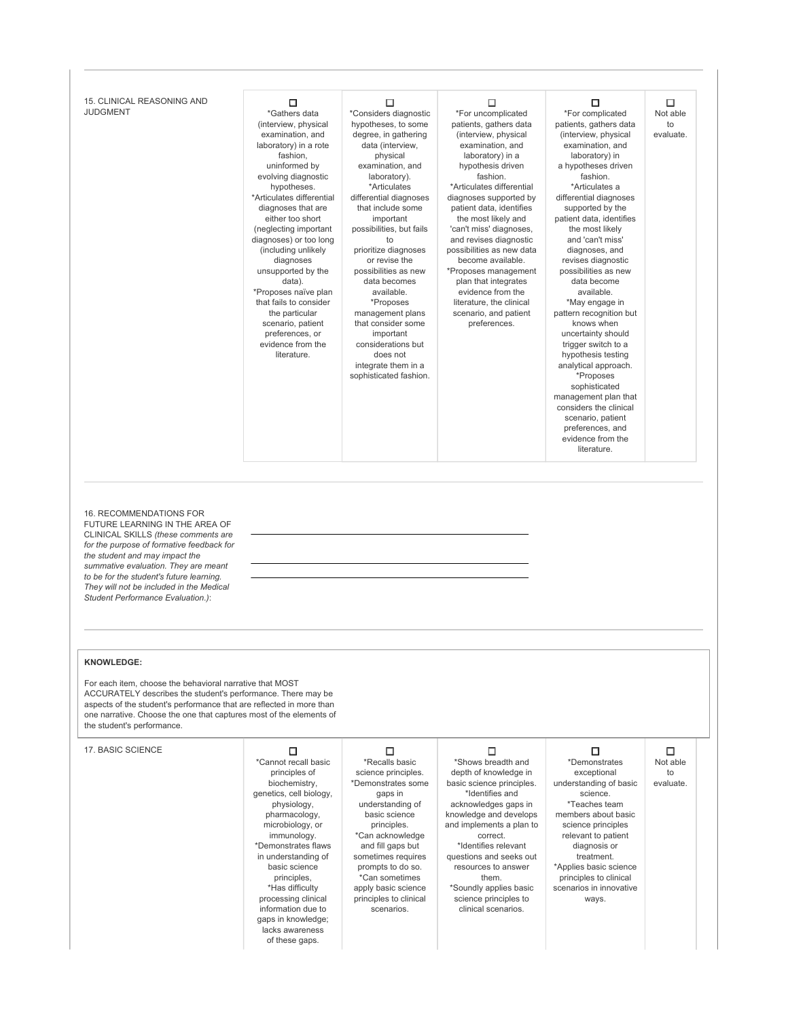| 15. CLINICAL REASONING AND<br><b>JUDGMENT</b>                                                                                                                                                                                                                                                                                                        | □<br>*Gathers data<br>(interview, physical<br>examination, and<br>laboratory) in a rote<br>fashion,<br>uninformed by<br>evolving diagnostic<br>hypotheses.<br>*Articulates differential<br>diagnoses that are<br>either too short<br>(neglecting important<br>diagnoses) or too long<br>(including unlikely<br>diagnoses<br>unsupported by the<br>data).<br>*Proposes naïve plan<br>that fails to consider<br>the particular<br>scenario, patient<br>preferences, or<br>evidence from the<br>literature. | □<br>*Considers diagnostic<br>hypotheses, to some<br>degree, in gathering<br>data (interview,<br>physical<br>examination, and<br>laboratory).<br>*Articulates<br>differential diagnoses<br>that include some<br>important<br>possibilities, but fails<br>to<br>prioritize diagnoses<br>or revise the<br>possibilities as new<br>data becomes<br>available.<br>*Proposes<br>management plans<br>that consider some<br>important<br>considerations but<br>does not<br>integrate them in a<br>sophisticated fashion. | □<br>*For uncomplicated<br>patients, gathers data<br>(interview, physical<br>examination, and<br>laboratory) in a<br>hypothesis driven<br>fashion.<br>*Articulates differential<br>diagnoses supported by<br>patient data, identifies<br>the most likely and<br>'can't miss' diagnoses,<br>and revises diagnostic<br>possibilities as new data<br>become available.<br>*Proposes management<br>plan that integrates<br>evidence from the<br>literature, the clinical<br>scenario, and patient<br>preferences. | □<br>*For complicated<br>patients, gathers data<br>(interview, physical<br>examination, and<br>laboratory) in<br>a hypotheses driven<br>fashion.<br>*Articulates a<br>differential diagnoses<br>supported by the<br>patient data, identifies<br>the most likely<br>and 'can't miss'<br>diagnoses, and<br>revises diagnostic<br>possibilities as new<br>data become<br>available.<br>*May engage in<br>pattern recognition but<br>knows when<br>uncertainty should<br>trigger switch to a<br>hypothesis testing<br>analytical approach.<br>*Proposes<br>sophisticated<br>management plan that<br>considers the clinical<br>scenario, patient<br>preferences, and<br>evidence from the<br>literature. | □<br>Not able<br>to<br>evaluate. |
|------------------------------------------------------------------------------------------------------------------------------------------------------------------------------------------------------------------------------------------------------------------------------------------------------------------------------------------------------|----------------------------------------------------------------------------------------------------------------------------------------------------------------------------------------------------------------------------------------------------------------------------------------------------------------------------------------------------------------------------------------------------------------------------------------------------------------------------------------------------------|-------------------------------------------------------------------------------------------------------------------------------------------------------------------------------------------------------------------------------------------------------------------------------------------------------------------------------------------------------------------------------------------------------------------------------------------------------------------------------------------------------------------|---------------------------------------------------------------------------------------------------------------------------------------------------------------------------------------------------------------------------------------------------------------------------------------------------------------------------------------------------------------------------------------------------------------------------------------------------------------------------------------------------------------|-----------------------------------------------------------------------------------------------------------------------------------------------------------------------------------------------------------------------------------------------------------------------------------------------------------------------------------------------------------------------------------------------------------------------------------------------------------------------------------------------------------------------------------------------------------------------------------------------------------------------------------------------------------------------------------------------------|----------------------------------|
| 16. RECOMMENDATIONS FOR<br>FUTURE LEARNING IN THE AREA OF<br>CLINICAL SKILLS (these comments are<br>for the purpose of formative feedback for<br>the student and may impact the<br>summative evaluation. They are meant<br>to be for the student's future learning.<br>They will not be included in the Medical<br>Student Performance Evaluation.): |                                                                                                                                                                                                                                                                                                                                                                                                                                                                                                          |                                                                                                                                                                                                                                                                                                                                                                                                                                                                                                                   |                                                                                                                                                                                                                                                                                                                                                                                                                                                                                                               |                                                                                                                                                                                                                                                                                                                                                                                                                                                                                                                                                                                                                                                                                                     |                                  |
| <b>KNOWLEDGE:</b><br>For each item, choose the behavioral narrative that MOST<br>ACCURATELY describes the student's performance. There may be<br>aspects of the student's performance that are reflected in more than<br>one narrative. Choose the one that captures most of the elements of<br>the student's performance.                           |                                                                                                                                                                                                                                                                                                                                                                                                                                                                                                          |                                                                                                                                                                                                                                                                                                                                                                                                                                                                                                                   |                                                                                                                                                                                                                                                                                                                                                                                                                                                                                                               |                                                                                                                                                                                                                                                                                                                                                                                                                                                                                                                                                                                                                                                                                                     |                                  |
| 17. BASIC SCIENCE                                                                                                                                                                                                                                                                                                                                    | □<br>*Cannot recall basic<br>principles of<br>biochemistry,<br>genetics, cell biology,<br>physiology,<br>pharmacology,<br>microbiology, or<br>immunology.<br>*Demonstrates flaws<br>in understanding of<br>basic science                                                                                                                                                                                                                                                                                 | □<br>*Recalls basic<br>science principles.<br>*Demonstrates some<br>gaps in<br>understanding of<br>basic science<br>principles.<br>*Can acknowledge<br>and fill gaps but<br>sometimes requires<br>prompts to do so.                                                                                                                                                                                                                                                                                               | □<br>*Shows breadth and<br>depth of knowledge in<br>basic science principles.<br>*Identifies and<br>acknowledges gaps in<br>knowledge and develops<br>and implements a plan to<br>correct.<br>*Identifies relevant<br>questions and seeks out<br>resources to answer                                                                                                                                                                                                                                          | □<br>*Demonstrates<br>exceptional<br>understanding of basic<br>science.<br>*Teaches team<br>members about basic<br>science principles<br>relevant to patient<br>diagnosis or<br>treatment.<br>*Applies basic science                                                                                                                                                                                                                                                                                                                                                                                                                                                                                | □<br>Not able<br>to<br>evaluate. |